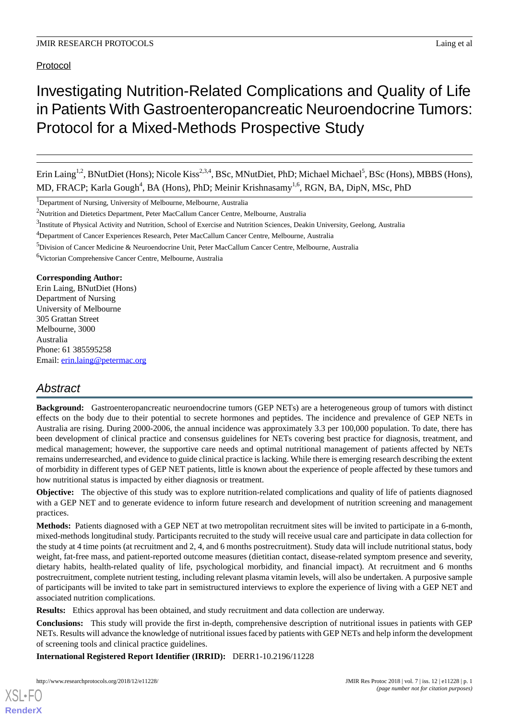Protocol

# Investigating Nutrition-Related Complications and Quality of Life in Patients With Gastroenteropancreatic Neuroendocrine Tumors: Protocol for a Mixed-Methods Prospective Study

Erin Laing<sup>1,2</sup>, BNutDiet (Hons); Nicole Kiss<sup>2,3,4</sup>, BSc, MNutDiet, PhD; Michael Michael<sup>5</sup>, BSc (Hons), MBBS (Hons), MD, FRACP; Karla Gough<sup>4</sup>, BA (Hons), PhD; Meinir Krishnasamy<sup>1,6</sup>, RGN, BA, DipN, MSc, PhD

<sup>1</sup>Department of Nursing, University of Melbourne, Melbourne, Australia

<sup>5</sup>Division of Cancer Medicine & Neuroendocrine Unit, Peter MacCallum Cancer Centre, Melbourne, Australia

<sup>6</sup>Victorian Comprehensive Cancer Centre, Melbourne, Australia

#### **Corresponding Author:**

Erin Laing, BNutDiet (Hons) Department of Nursing University of Melbourne 305 Grattan Street Melbourne, 3000 Australia Phone: 61 385595258 Email: [erin.laing@petermac.org](mailto:erin.laing@petermac.org)

## *Abstract*

**Background:** Gastroenteropancreatic neuroendocrine tumors (GEP NETs) are a heterogeneous group of tumors with distinct effects on the body due to their potential to secrete hormones and peptides. The incidence and prevalence of GEP NETs in Australia are rising. During 2000-2006, the annual incidence was approximately 3.3 per 100,000 population. To date, there has been development of clinical practice and consensus guidelines for NETs covering best practice for diagnosis, treatment, and medical management; however, the supportive care needs and optimal nutritional management of patients affected by NETs remains underresearched, and evidence to guide clinical practice is lacking. While there is emerging research describing the extent of morbidity in different types of GEP NET patients, little is known about the experience of people affected by these tumors and how nutritional status is impacted by either diagnosis or treatment.

**Objective:** The objective of this study was to explore nutrition-related complications and quality of life of patients diagnosed with a GEP NET and to generate evidence to inform future research and development of nutrition screening and management practices.

**Methods:** Patients diagnosed with a GEP NET at two metropolitan recruitment sites will be invited to participate in a 6-month, mixed-methods longitudinal study. Participants recruited to the study will receive usual care and participate in data collection for the study at 4 time points (at recruitment and 2, 4, and 6 months postrecruitment). Study data will include nutritional status, body weight, fat-free mass, and patient-reported outcome measures (dietitian contact, disease-related symptom presence and severity, dietary habits, health-related quality of life, psychological morbidity, and financial impact). At recruitment and 6 months postrecruitment, complete nutrient testing, including relevant plasma vitamin levels, will also be undertaken. A purposive sample of participants will be invited to take part in semistructured interviews to explore the experience of living with a GEP NET and associated nutrition complications.

**Results:** Ethics approval has been obtained, and study recruitment and data collection are underway.

**Conclusions:** This study will provide the first in-depth, comprehensive description of nutritional issues in patients with GEP NETs. Results will advance the knowledge of nutritional issues faced by patients with GEP NETs and help inform the development of screening tools and clinical practice guidelines.

**International Registered Report Identifier (IRRID):** DERR1-10.2196/11228

<sup>&</sup>lt;sup>2</sup>Nutrition and Dietetics Department, Peter MacCallum Cancer Centre, Melbourne, Australia

<sup>&</sup>lt;sup>3</sup>Institute of Physical Activity and Nutrition, School of Exercise and Nutrition Sciences, Deakin University, Geelong, Australia

<sup>4</sup>Department of Cancer Experiences Research, Peter MacCallum Cancer Centre, Melbourne, Australia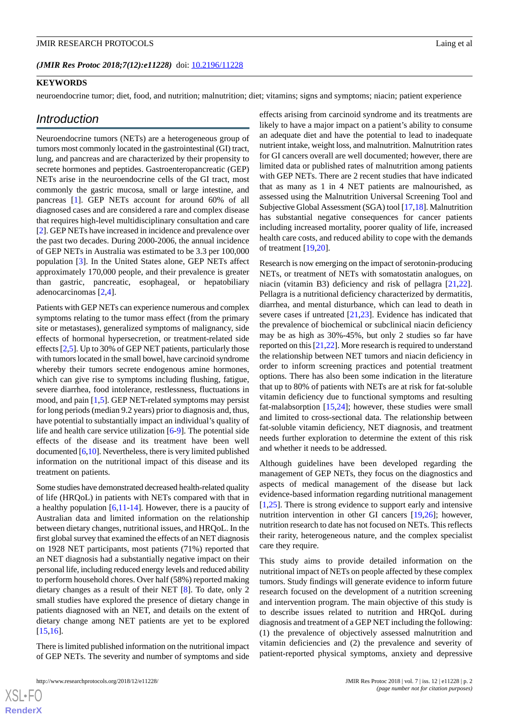#### **KEYWORDS**

neuroendocrine tumor; diet, food, and nutrition; malnutrition; diet; vitamins; signs and symptoms; niacin; patient experience

#### *Introduction*

Neuroendocrine tumors (NETs) are a heterogeneous group of tumors most commonly located in the gastrointestinal (GI) tract, lung, and pancreas and are characterized by their propensity to secrete hormones and peptides. Gastroenteropancreatic (GEP) NETs arise in the neuroendocrine cells of the GI tract, most commonly the gastric mucosa, small or large intestine, and pancreas [\[1](#page-6-0)]. GEP NETs account for around 60% of all diagnosed cases and are considered a rare and complex disease that requires high-level multidisciplinary consultation and care [[2\]](#page-6-1). GEP NETs have increased in incidence and prevalence over the past two decades. During 2000-2006, the annual incidence of GEP NETs in Australia was estimated to be 3.3 per 100,000 population [\[3](#page-6-2)]. In the United States alone, GEP NETs affect approximately 170,000 people, and their prevalence is greater than gastric, pancreatic, esophageal, or hepatobiliary adenocarcinomas [[2](#page-6-1)[,4](#page-6-3)].

Patients with GEP NETs can experience numerous and complex symptoms relating to the tumor mass effect (from the primary site or metastases), generalized symptoms of malignancy, side effects of hormonal hypersecretion, or treatment-related side effects [[2](#page-6-1),[5\]](#page-7-0). Up to 30% of GEP NET patients, particularly those with tumors located in the small bowel, have carcinoid syndrome whereby their tumors secrete endogenous amine hormones, which can give rise to symptoms including flushing, fatigue, severe diarrhea, food intolerance, restlessness, fluctuations in mood, and pain [[1,](#page-6-0)[5](#page-7-0)]. GEP NET-related symptoms may persist for long periods (median 9.2 years) prior to diagnosis and, thus, have potential to substantially impact an individual's quality of life and health care service utilization [\[6](#page-7-1)-[9\]](#page-7-2). The potential side effects of the disease and its treatment have been well documented [[6,](#page-7-1)[10\]](#page-7-3). Nevertheless, there is very limited published information on the nutritional impact of this disease and its treatment on patients.

Some studies have demonstrated decreased health-related quality of life (HRQoL) in patients with NETs compared with that in a healthy population  $[6,11-14]$  $[6,11-14]$  $[6,11-14]$  $[6,11-14]$  $[6,11-14]$ . However, there is a paucity of Australian data and limited information on the relationship between dietary changes, nutritional issues, and HRQoL. In the first global survey that examined the effects of an NET diagnosis on 1928 NET participants, most patients (71%) reported that an NET diagnosis had a substantially negative impact on their personal life, including reduced energy levels and reduced ability to perform household chores. Over half (58%) reported making dietary changes as a result of their NET [[8\]](#page-7-6). To date, only 2 small studies have explored the presence of dietary change in patients diagnosed with an NET, and details on the extent of dietary change among NET patients are yet to be explored [[15](#page-7-7)[,16](#page-7-8)].

There is limited published information on the nutritional impact of GEP NETs. The severity and number of symptoms and side

 $XS$  • FO **[RenderX](http://www.renderx.com/)**

effects arising from carcinoid syndrome and its treatments are likely to have a major impact on a patient's ability to consume an adequate diet and have the potential to lead to inadequate nutrient intake, weight loss, and malnutrition. Malnutrition rates for GI cancers overall are well documented; however, there are limited data or published rates of malnutrition among patients with GEP NETs. There are 2 recent studies that have indicated that as many as 1 in 4 NET patients are malnourished, as assessed using the Malnutrition Universal Screening Tool and Subjective Global Assessment (SGA) tool [\[17](#page-7-9)[,18](#page-7-10)]. Malnutrition has substantial negative consequences for cancer patients including increased mortality, poorer quality of life, increased health care costs, and reduced ability to cope with the demands of treatment [\[19](#page-7-11),[20\]](#page-7-12).

Research is now emerging on the impact of serotonin-producing NETs, or treatment of NETs with somatostatin analogues, on niacin (vitamin B3) deficiency and risk of pellagra [\[21](#page-7-13),[22\]](#page-7-14). Pellagra is a nutritional deficiency characterized by dermatitis, diarrhea, and mental disturbance, which can lead to death in severe cases if untreated [\[21](#page-7-13),[23\]](#page-7-15). Evidence has indicated that the prevalence of biochemical or subclinical niacin deficiency may be as high as 30%-45%, but only 2 studies so far have reported on this [\[21](#page-7-13),[22\]](#page-7-14). More research is required to understand the relationship between NET tumors and niacin deficiency in order to inform screening practices and potential treatment options. There has also been some indication in the literature that up to 80% of patients with NETs are at risk for fat-soluble vitamin deficiency due to functional symptoms and resulting fat-malabsorption [\[15](#page-7-7),[24\]](#page-7-16); however, these studies were small and limited to cross-sectional data. The relationship between fat-soluble vitamin deficiency, NET diagnosis, and treatment needs further exploration to determine the extent of this risk and whether it needs to be addressed.

Although guidelines have been developed regarding the management of GEP NETs, they focus on the diagnostics and aspects of medical management of the disease but lack evidence-based information regarding nutritional management [[1](#page-6-0)[,25](#page-7-17)]. There is strong evidence to support early and intensive nutrition intervention in other GI cancers [\[19](#page-7-11)[,26](#page-7-18)]; however, nutrition research to date has not focused on NETs. This reflects their rarity, heterogeneous nature, and the complex specialist care they require.

This study aims to provide detailed information on the nutritional impact of NETs on people affected by these complex tumors. Study findings will generate evidence to inform future research focused on the development of a nutrition screening and intervention program. The main objective of this study is to describe issues related to nutrition and HRQoL during diagnosis and treatment of a GEP NET including the following: (1) the prevalence of objectively assessed malnutrition and vitamin deficiencies and (2) the prevalence and severity of patient-reported physical symptoms, anxiety and depressive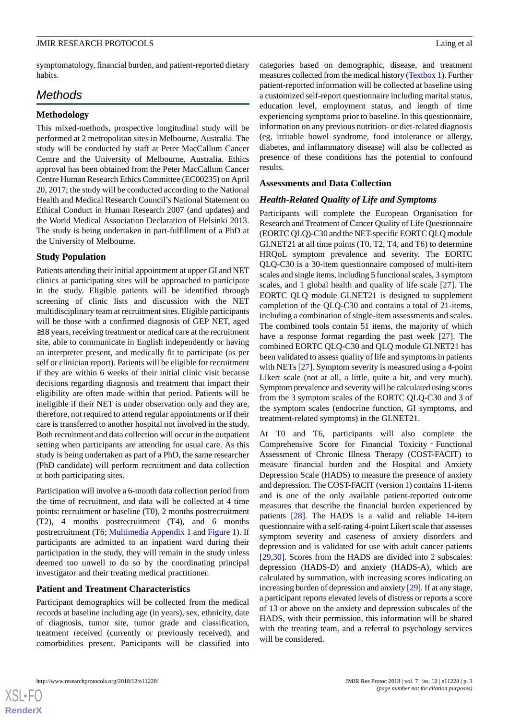symptomatology, financial burden, and patient-reported dietary habits.

## *Methods*

#### **Methodology**

This mixed-methods, prospective longitudinal study will be performed at 2 metropolitan sites in Melbourne, Australia. The study will be conducted by staff at Peter MacCallum Cancer Centre and the University of Melbourne, Australia. Ethics approval has been obtained from the Peter MacCallum Cancer Centre Human Research Ethics Committee (EC00235) on April 20, 2017; the study will be conducted according to the National Health and Medical Research Council's National Statement on Ethical Conduct in Human Research 2007 (and updates) and the World Medical Association Declaration of Helsinki 2013. The study is being undertaken in part-fulfillment of a PhD at the University of Melbourne.

#### **Study Population**

Patients attending their initial appointment at upper GI and NET clinics at participating sites will be approached to participate in the study. Eligible patients will be identified through screening of clinic lists and discussion with the NET multidisciplinary team at recruitment sites. Eligible participants will be those with a confirmed diagnosis of GEP NET, aged ≥18 years, receiving treatment or medical care at the recruitment site, able to communicate in English independently or having an interpreter present, and medically fit to participate (as per self or clinician report). Patients will be eligible for recruitment if they are within 6 weeks of their initial clinic visit because decisions regarding diagnosis and treatment that impact their eligibility are often made within that period. Patients will be ineligible if their NET is under observation only and they are, therefore, not required to attend regular appointments or if their care is transferred to another hospital not involved in the study. Both recruitment and data collection will occur in the outpatient setting when participants are attending for usual care. As this study is being undertaken as part of a PhD, the same researcher (PhD candidate) will perform recruitment and data collection at both participating sites.

Participation will involve a 6-month data collection period from the time of recruitment, and data will be collected at 4 time points: recruitment or baseline (T0), 2 months postrecruitment (T2), 4 months postrecruitment (T4), and 6 months postrecruitment (T6; [Multimedia Appendix 1](#page-6-4) and [Figure 1\)](#page-3-0). If participants are admitted to an inpatient ward during their participation in the study, they will remain in the study unless deemed too unwell to do so by the coordinating principal investigator and their treating medical practitioner.

#### **Patient and Treatment Characteristics**

Participant demographics will be collected from the medical records at baseline including age (in years), sex, ethnicity, date of diagnosis, tumor site, tumor grade and classification, treatment received (currently or previously received), and comorbidities present. Participants will be classified into

categories based on demographic, disease, and treatment measures collected from the medical history [\(Textbox 1\)](#page-4-0). Further patient-reported information will be collected at baseline using a customized self-report questionnaire including marital status, education level, employment status, and length of time experiencing symptoms prior to baseline. In this questionnaire, information on any previous nutrition- or diet-related diagnosis (eg, irritable bowel syndrome, food intolerance or allergy, diabetes, and inflammatory disease) will also be collected as presence of these conditions has the potential to confound results.

#### **Assessments and Data Collection**

#### *Health-Related Quality of Life and Symptoms*

Participants will complete the European Organisation for Research and Treatment of Cancer Quality of Life Questionnaire (EORTC QLQ)-C30 and the NET-specific EORTC QLQ module GI.NET21 at all time points (T0, T2, T4, and T6) to determine HRQoL symptom prevalence and severity. The EORTC QLQ-C30 is a 30-item questionnaire composed of multi-item scales and single items, including 5 functional scales, 3 symptom scales, and 1 global health and quality of life scale [\[27](#page-8-0)]. The EORTC QLQ module GI.NET21 is designed to supplement completion of the QLQ-C30 and contains a total of 21-items, including a combination of single-item assessments and scales. The combined tools contain 51 items, the majority of which have a response format regarding the past week [[27\]](#page-8-0). The combined EORTC QLQ-C30 and QLQ module GI.NET21 has been validated to assess quality of life and symptoms in patients with NETs [\[27](#page-8-0)]. Symptom severity is measured using a 4-point Likert scale (not at all, a little, quite a bit, and very much). Symptom prevalence and severity will be calculated using scores from the 3 symptom scales of the EORTC QLQ-C30 and 3 of the symptom scales (endocrine function, GI symptoms, and treatment-related symptoms) in the GI.NET21.

At T0 and T6, participants will also complete the Comprehensive Score for Financial Toxicity‐Functional Assessment of Chronic Illness Therapy (COST-FACIT) to measure financial burden and the Hospital and Anxiety Depression Scale (HADS) to measure the presence of anxiety and depression. The COST-FACIT (version 1) contains 11-items and is one of the only available patient-reported outcome measures that describe the financial burden experienced by patients [[28\]](#page-8-1). The HADS is a valid and reliable 14-item questionnaire with a self-rating 4-point Likert scale that assesses symptom severity and caseness of anxiety disorders and depression and is validated for use with adult cancer patients [[29,](#page-8-2)[30\]](#page-8-3). Scores from the HADS are divided into 2 subscales: depression (HADS-D) and anxiety (HADS-A), which are calculated by summation, with increasing scores indicating an increasing burden of depression and anxiety [\[29](#page-8-2)]. If at any stage, a participant reports elevated levels of distress or reports a score of 13 or above on the anxiety and depression subscales of the HADS, with their permission, this information will be shared with the treating team, and a referral to psychology services will be considered.

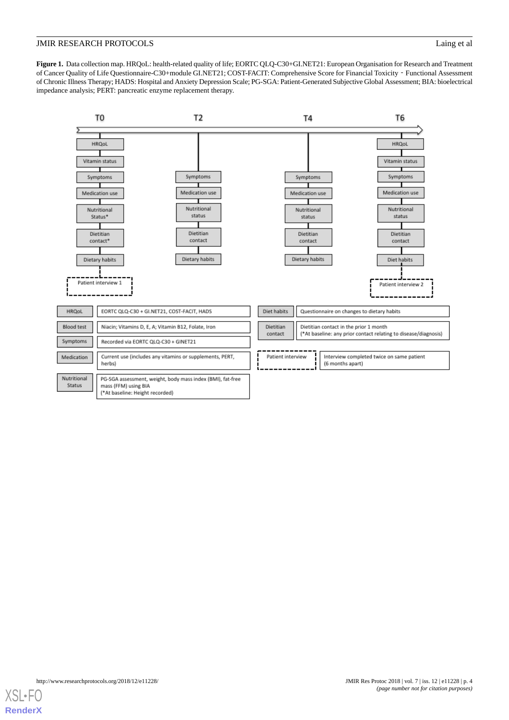<span id="page-3-0"></span>**Figure 1.** Data collection map. HRQoL: health-related quality of life; EORTC QLQ-C30+GI.NET21: European Organisation for Research and Treatment of Cancer Quality of Life Questionnaire-C30+module GI.NET21; COST-FACIT: Comprehensive Score for Financial Toxicity‐Functional Assessment of Chronic Illness Therapy; HADS: Hospital and Anxiety Depression Scale; PG-SGA: Patient-Generated Subjective Global Assessment; BIA: bioelectrical impedance analysis; PERT: pancreatic enzyme replacement therapy.



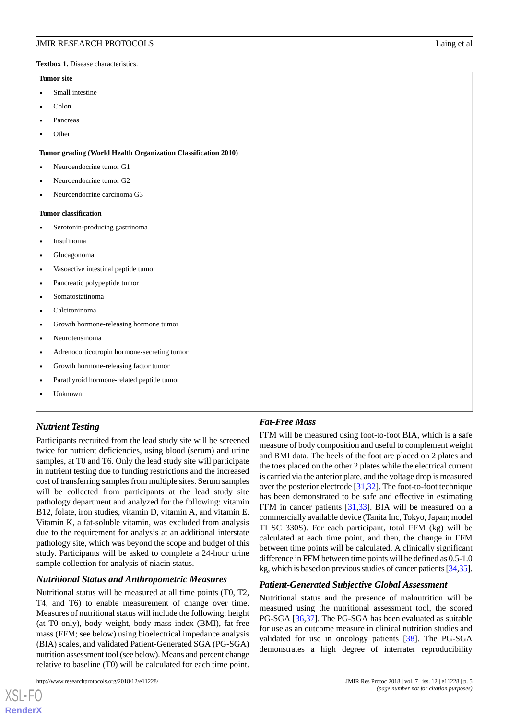<span id="page-4-0"></span>**Textbox 1.** Disease characteristics.

#### **Tumor site**

- Small intestine
- Colon
- Pancreas
- Other

#### **Tumor grading (World Health Organization Classification 2010)**

- Neuroendocrine tumor G1
- Neuroendocrine tumor G<sub>2</sub>
- Neuroendocrine carcinoma G3

#### **Tumor classification**

- Serotonin-producing gastrinoma
- Insulinoma
- Glucagonoma
- Vasoactive intestinal peptide tumor
- Pancreatic polypeptide tumor
- Somatostatinoma
- Calcitoninoma
- Growth hormone-releasing hormone tumor
- Neurotensinoma
- Adrenocorticotropin hormone-secreting tumor
- Growth hormone-releasing factor tumor
- Parathyroid hormone-related peptide tumor
- Unknown

## *Nutrient Testing*

Participants recruited from the lead study site will be screened twice for nutrient deficiencies, using blood (serum) and urine samples, at T0 and T6. Only the lead study site will participate in nutrient testing due to funding restrictions and the increased cost of transferring samples from multiple sites. Serum samples will be collected from participants at the lead study site pathology department and analyzed for the following: vitamin B12, folate, iron studies, vitamin D, vitamin A, and vitamin E. Vitamin K, a fat-soluble vitamin, was excluded from analysis due to the requirement for analysis at an additional interstate pathology site, which was beyond the scope and budget of this study. Participants will be asked to complete a 24-hour urine sample collection for analysis of niacin status.

#### *Nutritional Status and Anthropometric Measures*

Nutritional status will be measured at all time points (T0, T2, T4, and T6) to enable measurement of change over time. Measures of nutritional status will include the following: height (at T0 only), body weight, body mass index (BMI), fat-free mass (FFM; see below) using bioelectrical impedance analysis (BIA) scales, and validated Patient-Generated SGA (PG-SGA) nutrition assessment tool (see below). Means and percent change relative to baseline (T0) will be calculated for each time point.

#### *Fat-Free Mass*

FFM will be measured using foot-to-foot BIA, which is a safe measure of body composition and useful to complement weight and BMI data. The heels of the foot are placed on 2 plates and the toes placed on the other 2 plates while the electrical current is carried via the anterior plate, and the voltage drop is measured over the posterior electrode [\[31](#page-8-4),[32\]](#page-8-5). The foot-to-foot technique has been demonstrated to be safe and effective in estimating FFM in cancer patients [[31,](#page-8-4)[33\]](#page-8-6). BIA will be measured on a commercially available device (Tanita Inc, Tokyo, Japan; model TI SC 330S). For each participant, total FFM (kg) will be calculated at each time point, and then, the change in FFM between time points will be calculated. A clinically significant difference in FFM between time points will be defined as 0.5-1.0 kg, which is based on previous studies of cancer patients [\[34](#page-8-7)[,35](#page-8-8)].

#### *Patient-Generated Subjective Global Assessment*

Nutritional status and the presence of malnutrition will be measured using the nutritional assessment tool, the scored PG-SGA [[36,](#page-8-9)[37](#page-8-10)]. The PG-SGA has been evaluated as suitable for use as an outcome measure in clinical nutrition studies and validated for use in oncology patients [\[38](#page-8-11)]. The PG-SGA demonstrates a high degree of interrater reproducibility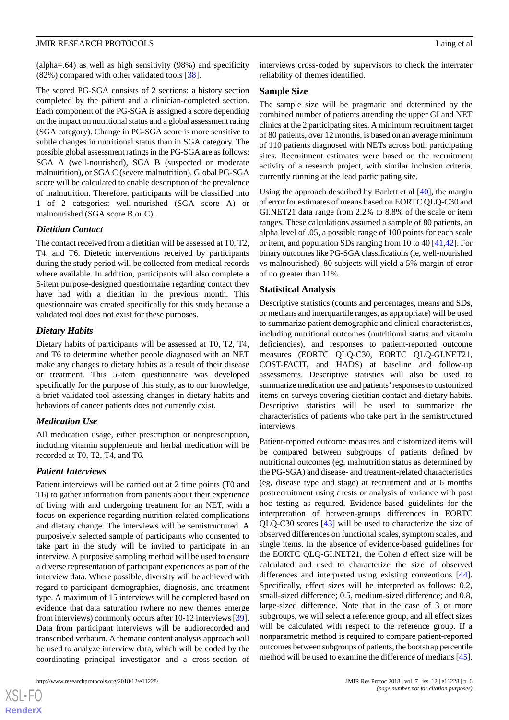(alpha=.64) as well as high sensitivity (98%) and specificity (82%) compared with other validated tools [[38\]](#page-8-11).

The scored PG-SGA consists of 2 sections: a history section completed by the patient and a clinician-completed section. Each component of the PG-SGA is assigned a score depending on the impact on nutritional status and a global assessment rating (SGA category). Change in PG-SGA score is more sensitive to subtle changes in nutritional status than in SGA category. The possible global assessment ratings in the PG-SGA are as follows: SGA A (well-nourished), SGA B (suspected or moderate malnutrition), or SGA C (severe malnutrition). Global PG-SGA score will be calculated to enable description of the prevalence of malnutrition. Therefore, participants will be classified into 1 of 2 categories: well-nourished (SGA score A) or malnourished (SGA score B or C).

### *Dietitian Contact*

The contact received from a dietitian will be assessed at T0, T2, T4, and T6. Dietetic interventions received by participants during the study period will be collected from medical records where available. In addition, participants will also complete a 5-item purpose-designed questionnaire regarding contact they have had with a dietitian in the previous month. This questionnaire was created specifically for this study because a validated tool does not exist for these purposes.

### *Dietary Habits*

Dietary habits of participants will be assessed at T0, T2, T4, and T6 to determine whether people diagnosed with an NET make any changes to dietary habits as a result of their disease or treatment. This 5-item questionnaire was developed specifically for the purpose of this study, as to our knowledge, a brief validated tool assessing changes in dietary habits and behaviors of cancer patients does not currently exist.

## *Medication Use*

All medication usage, either prescription or nonprescription, including vitamin supplements and herbal medication will be recorded at T0, T2, T4, and T6.

## *Patient Interviews*

Patient interviews will be carried out at 2 time points (T0 and T6) to gather information from patients about their experience of living with and undergoing treatment for an NET, with a focus on experience regarding nutrition-related complications and dietary change. The interviews will be semistructured. A purposively selected sample of participants who consented to take part in the study will be invited to participate in an interview. A purposive sampling method will be used to ensure a diverse representation of participant experiences as part of the interview data. Where possible, diversity will be achieved with regard to participant demographics, diagnosis, and treatment type. A maximum of 15 interviews will be completed based on evidence that data saturation (where no new themes emerge from interviews) commonly occurs after 10-12 interviews [[39\]](#page-8-12). Data from participant interviews will be audiorecorded and transcribed verbatim. A thematic content analysis approach will be used to analyze interview data, which will be coded by the coordinating principal investigator and a cross-section of

 $XS$  $\cdot$ FC **[RenderX](http://www.renderx.com/)** interviews cross-coded by supervisors to check the interrater reliability of themes identified.

#### **Sample Size**

The sample size will be pragmatic and determined by the combined number of patients attending the upper GI and NET clinics at the 2 participating sites. A minimum recruitment target of 80 patients, over 12 months, is based on an average minimum of 110 patients diagnosed with NETs across both participating sites. Recruitment estimates were based on the recruitment activity of a research project, with similar inclusion criteria, currently running at the lead participating site.

Using the approach described by Barlett et al [\[40](#page-8-13)], the margin of error for estimates of means based on EORTC QLQ-C30 and GI.NET21 data range from 2.2% to 8.8% of the scale or item ranges. These calculations assumed a sample of 80 patients, an alpha level of .05, a possible range of 100 points for each scale or item, and population SDs ranging from 10 to 40 [[41,](#page-8-14)[42](#page-8-15)]. For binary outcomes like PG-SGA classifications (ie, well-nourished vs malnourished), 80 subjects will yield a 5% margin of error of no greater than 11%.

### **Statistical Analysis**

Descriptive statistics (counts and percentages, means and SDs, or medians and interquartile ranges, as appropriate) will be used to summarize patient demographic and clinical characteristics, including nutritional outcomes (nutritional status and vitamin deficiencies), and responses to patient-reported outcome measures (EORTC QLQ-C30, EORTC QLQ-GI.NET21, COST-FACIT, and HADS) at baseline and follow-up assessments. Descriptive statistics will also be used to summarize medication use and patients'responses to customized items on surveys covering dietitian contact and dietary habits. Descriptive statistics will be used to summarize the characteristics of patients who take part in the semistructured interviews.

Patient-reported outcome measures and customized items will be compared between subgroups of patients defined by nutritional outcomes (eg, malnutrition status as determined by the PG-SGA) and disease- and treatment-related characteristics (eg, disease type and stage) at recruitment and at 6 months postrecruitment using *t* tests or analysis of variance with post hoc testing as required. Evidence-based guidelines for the interpretation of between-groups differences in EORTC QLQ-C30 scores [[43\]](#page-8-16) will be used to characterize the size of observed differences on functional scales, symptom scales, and single items. In the absence of evidence-based guidelines for the EORTC QLQ-GI.NET21, the Cohen *d* effect size will be calculated and used to characterize the size of observed differences and interpreted using existing conventions [[44\]](#page-8-17). Specifically, effect sizes will be interpreted as follows: 0.2, small-sized difference; 0.5, medium-sized difference; and 0.8, large-sized difference. Note that in the case of 3 or more subgroups, we will select a reference group, and all effect sizes will be calculated with respect to the reference group. If a nonparametric method is required to compare patient-reported outcomes between subgroups of patients, the bootstrap percentile method will be used to examine the difference of medians [[45\]](#page-8-18).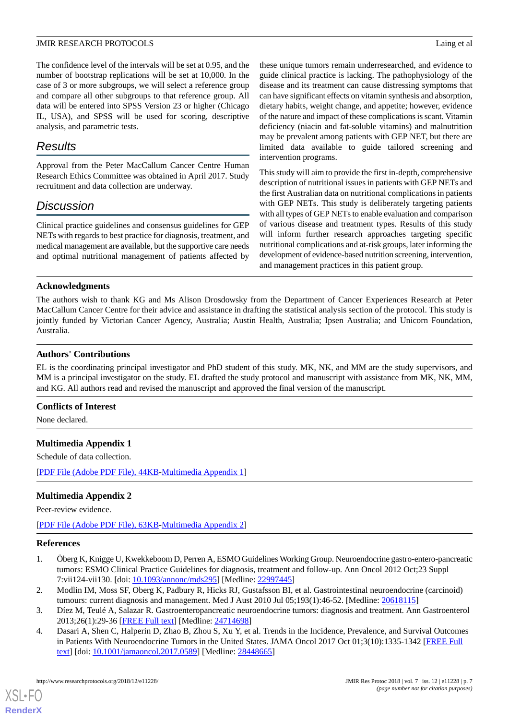The confidence level of the intervals will be set at 0.95, and the number of bootstrap replications will be set at 10,000. In the case of 3 or more subgroups, we will select a reference group and compare all other subgroups to that reference group. All data will be entered into SPSS Version 23 or higher (Chicago IL, USA), and SPSS will be used for scoring, descriptive analysis, and parametric tests.

## *Results*

Approval from the Peter MacCallum Cancer Centre Human Research Ethics Committee was obtained in April 2017. Study recruitment and data collection are underway.

## *Discussion*

Clinical practice guidelines and consensus guidelines for GEP NETs with regards to best practice for diagnosis, treatment, and medical management are available, but the supportive care needs and optimal nutritional management of patients affected by these unique tumors remain underresearched, and evidence to guide clinical practice is lacking. The pathophysiology of the disease and its treatment can cause distressing symptoms that can have significant effects on vitamin synthesis and absorption, dietary habits, weight change, and appetite; however, evidence of the nature and impact of these complications is scant. Vitamin deficiency (niacin and fat-soluble vitamins) and malnutrition may be prevalent among patients with GEP NET, but there are limited data available to guide tailored screening and intervention programs.

This study will aim to provide the first in-depth, comprehensive description of nutritional issues in patients with GEP NETs and the first Australian data on nutritional complications in patients with GEP NETs. This study is deliberately targeting patients with all types of GEP NETs to enable evaluation and comparison of various disease and treatment types. Results of this study will inform further research approaches targeting specific nutritional complications and at-risk groups, later informing the development of evidence-based nutrition screening, intervention, and management practices in this patient group.

## **Acknowledgments**

The authors wish to thank KG and Ms Alison Drosdowsky from the Department of Cancer Experiences Research at Peter MacCallum Cancer Centre for their advice and assistance in drafting the statistical analysis section of the protocol. This study is jointly funded by Victorian Cancer Agency, Australia; Austin Health, Australia; Ipsen Australia; and Unicorn Foundation, Australia.

## **Authors' Contributions**

EL is the coordinating principal investigator and PhD student of this study. MK, NK, and MM are the study supervisors, and MM is a principal investigator on the study. EL drafted the study protocol and manuscript with assistance from MK, NK, MM, and KG. All authors read and revised the manuscript and approved the final version of the manuscript.

## <span id="page-6-4"></span>**Conflicts of Interest**

None declared.

## **Multimedia Appendix 1**

Schedule of data collection.

[[PDF File \(Adobe PDF File\), 44KB-Multimedia Appendix 1](https://jmir.org/api/download?alt_name=resprot_v7i12e11228_app1.pdf&filename=58c8362383076799b882963942d9bd70.pdf)]

## **Multimedia Appendix 2**

<span id="page-6-0"></span>Peer-review evidence.

<span id="page-6-1"></span>[[PDF File \(Adobe PDF File\), 63KB-Multimedia Appendix 2](https://jmir.org/api/download?alt_name=resprot_v7i12e11228_app2.pdf&filename=de01bf0bb2885a0cf8396ee097e364ac.pdf)]

#### <span id="page-6-2"></span>**References**

- <span id="page-6-3"></span>1. Öberg K, Knigge U, Kwekkeboom D, Perren A, ESMO Guidelines Working Group. Neuroendocrine gastro-entero-pancreatic tumors: ESMO Clinical Practice Guidelines for diagnosis, treatment and follow-up. Ann Oncol 2012 Oct;23 Suppl 7:vii124-vii130. [doi: [10.1093/annonc/mds295\]](http://dx.doi.org/10.1093/annonc/mds295) [Medline: [22997445\]](http://www.ncbi.nlm.nih.gov/entrez/query.fcgi?cmd=Retrieve&db=PubMed&list_uids=22997445&dopt=Abstract)
- 2. Modlin IM, Moss SF, Oberg K, Padbury R, Hicks RJ, Gustafsson BI, et al. Gastrointestinal neuroendocrine (carcinoid) tumours: current diagnosis and management. Med J Aust 2010 Jul 05;193(1):46-52. [Medline: [20618115](http://www.ncbi.nlm.nih.gov/entrez/query.fcgi?cmd=Retrieve&db=PubMed&list_uids=20618115&dopt=Abstract)]
- 3. Díez M, Teulé A, Salazar R. Gastroenteropancreatic neuroendocrine tumors: diagnosis and treatment. Ann Gastroenterol 2013;26(1):29-36 [[FREE Full text](http://europepmc.org/abstract/MED/24714698)] [Medline: [24714698](http://www.ncbi.nlm.nih.gov/entrez/query.fcgi?cmd=Retrieve&db=PubMed&list_uids=24714698&dopt=Abstract)]
- 4. Dasari A, Shen C, Halperin D, Zhao B, Zhou S, Xu Y, et al. Trends in the Incidence, Prevalence, and Survival Outcomes in Patients With Neuroendocrine Tumors in the United States. JAMA Oncol 2017 Oct 01;3(10):1335-1342 [\[FREE Full](http://europepmc.org/abstract/MED/28448665) [text](http://europepmc.org/abstract/MED/28448665)] [doi: [10.1001/jamaoncol.2017.0589](http://dx.doi.org/10.1001/jamaoncol.2017.0589)] [Medline: [28448665](http://www.ncbi.nlm.nih.gov/entrez/query.fcgi?cmd=Retrieve&db=PubMed&list_uids=28448665&dopt=Abstract)]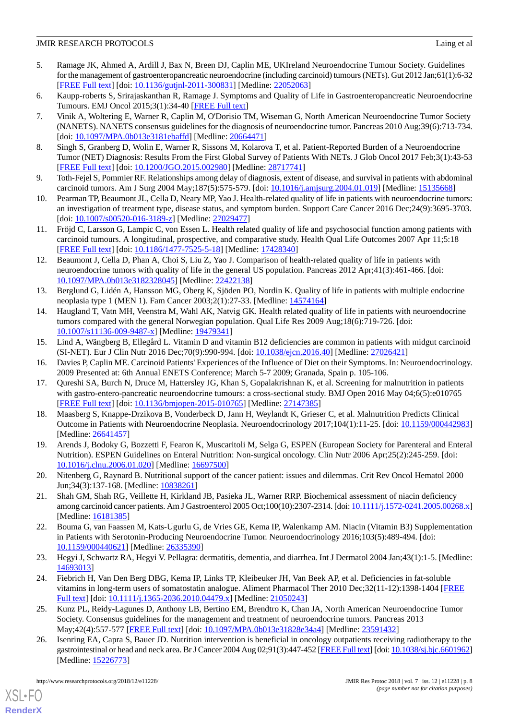- <span id="page-7-0"></span>5. Ramage JK, Ahmed A, Ardill J, Bax N, Breen DJ, Caplin ME, UKIreland Neuroendocrine Tumour Society. Guidelines for the management of gastroenteropancreatic neuroendocrine (including carcinoid) tumours (NETs). Gut 2012 Jan;61(1):6-32 [[FREE Full text](http://gut.bmj.com/cgi/pmidlookup?view=long&pmid=22052063)] [doi: [10.1136/gutjnl-2011-300831\]](http://dx.doi.org/10.1136/gutjnl-2011-300831) [Medline: [22052063](http://www.ncbi.nlm.nih.gov/entrez/query.fcgi?cmd=Retrieve&db=PubMed&list_uids=22052063&dopt=Abstract)]
- <span id="page-7-1"></span>6. Kaupp-roberts S, Srirajaskanthan R, Ramage J. Symptoms and Quality of Life in Gastroenteropancreatic Neuroendocrine Tumours. EMJ Oncol 2015;3(1):34-40 [[FREE Full text](https://www.emjreviews.com/oncology/article/symptoms-and-quality-of-life-in-gastroenteropancreatic-neuroendocrine-tumours/)]
- 7. Vinik A, Woltering E, Warner R, Caplin M, O'Dorisio TM, Wiseman G, North American Neuroendocrine Tumor Society (NANETS). NANETS consensus guidelines for the diagnosis of neuroendocrine tumor. Pancreas 2010 Aug;39(6):713-734. [doi: [10.1097/MPA.0b013e3181ebaffd](http://dx.doi.org/10.1097/MPA.0b013e3181ebaffd)] [Medline: [20664471\]](http://www.ncbi.nlm.nih.gov/entrez/query.fcgi?cmd=Retrieve&db=PubMed&list_uids=20664471&dopt=Abstract)
- <span id="page-7-6"></span><span id="page-7-2"></span>8. Singh S, Granberg D, Wolin E, Warner R, Sissons M, Kolarova T, et al. Patient-Reported Burden of a Neuroendocrine Tumor (NET) Diagnosis: Results From the First Global Survey of Patients With NETs. J Glob Oncol 2017 Feb;3(1):43-53 [[FREE Full text](http://europepmc.org/abstract/MED/28717741)] [doi: [10.1200/JGO.2015.002980](http://dx.doi.org/10.1200/JGO.2015.002980)] [Medline: [28717741\]](http://www.ncbi.nlm.nih.gov/entrez/query.fcgi?cmd=Retrieve&db=PubMed&list_uids=28717741&dopt=Abstract)
- <span id="page-7-3"></span>9. Toth-Fejel S, Pommier RF. Relationships among delay of diagnosis, extent of disease, and survival in patients with abdominal carcinoid tumors. Am J Surg 2004 May;187(5):575-579. [doi: [10.1016/j.amjsurg.2004.01.019\]](http://dx.doi.org/10.1016/j.amjsurg.2004.01.019) [Medline: [15135668\]](http://www.ncbi.nlm.nih.gov/entrez/query.fcgi?cmd=Retrieve&db=PubMed&list_uids=15135668&dopt=Abstract)
- <span id="page-7-4"></span>10. Pearman TP, Beaumont JL, Cella D, Neary MP, Yao J. Health-related quality of life in patients with neuroendocrine tumors: an investigation of treatment type, disease status, and symptom burden. Support Care Cancer 2016 Dec;24(9):3695-3703. [doi: [10.1007/s00520-016-3189-z\]](http://dx.doi.org/10.1007/s00520-016-3189-z) [Medline: [27029477](http://www.ncbi.nlm.nih.gov/entrez/query.fcgi?cmd=Retrieve&db=PubMed&list_uids=27029477&dopt=Abstract)]
- 11. Fröjd C, Larsson G, Lampic C, von Essen L. Health related quality of life and psychosocial function among patients with carcinoid tumours. A longitudinal, prospective, and comparative study. Health Qual Life Outcomes 2007 Apr 11;5:18 [[FREE Full text](https://hqlo.biomedcentral.com/articles/10.1186/1477-7525-5-18)] [doi: [10.1186/1477-7525-5-18\]](http://dx.doi.org/10.1186/1477-7525-5-18) [Medline: [17428340\]](http://www.ncbi.nlm.nih.gov/entrez/query.fcgi?cmd=Retrieve&db=PubMed&list_uids=17428340&dopt=Abstract)
- 12. Beaumont J, Cella D, Phan A, Choi S, Liu Z, Yao J. Comparison of health-related quality of life in patients with neuroendocrine tumors with quality of life in the general US population. Pancreas 2012 Apr;41(3):461-466. [doi: [10.1097/MPA.0b013e3182328045](http://dx.doi.org/10.1097/MPA.0b013e3182328045)] [Medline: [22422138](http://www.ncbi.nlm.nih.gov/entrez/query.fcgi?cmd=Retrieve&db=PubMed&list_uids=22422138&dopt=Abstract)]
- <span id="page-7-5"></span>13. Berglund G, Lidén A, Hansson MG, Oberg K, Sjöden PO, Nordin K. Quality of life in patients with multiple endocrine neoplasia type 1 (MEN 1). Fam Cancer 2003;2(1):27-33. [Medline: [14574164\]](http://www.ncbi.nlm.nih.gov/entrez/query.fcgi?cmd=Retrieve&db=PubMed&list_uids=14574164&dopt=Abstract)
- <span id="page-7-7"></span>14. Haugland T, Vatn MH, Veenstra M, Wahl AK, Natvig GK. Health related quality of life in patients with neuroendocrine tumors compared with the general Norwegian population. Qual Life Res 2009 Aug;18(6):719-726. [doi: [10.1007/s11136-009-9487-x\]](http://dx.doi.org/10.1007/s11136-009-9487-x) [Medline: [19479341](http://www.ncbi.nlm.nih.gov/entrez/query.fcgi?cmd=Retrieve&db=PubMed&list_uids=19479341&dopt=Abstract)]
- <span id="page-7-9"></span><span id="page-7-8"></span>15. Lind A, Wängberg B, Ellegård L. Vitamin D and vitamin B12 deficiencies are common in patients with midgut carcinoid (SI-NET). Eur J Clin Nutr 2016 Dec;70(9):990-994. [doi: [10.1038/ejcn.2016.40](http://dx.doi.org/10.1038/ejcn.2016.40)] [Medline: [27026421\]](http://www.ncbi.nlm.nih.gov/entrez/query.fcgi?cmd=Retrieve&db=PubMed&list_uids=27026421&dopt=Abstract)
- <span id="page-7-10"></span>16. Davies P, Caplin ME. Carcinoid Patients' Experiences of the Influence of Diet on their Symptoms. In: Neuroendocrinology. 2009 Presented at: 6th Annual ENETS Conference; March 5-7 2009; Granada, Spain p. 105-106.
- 17. Qureshi SA, Burch N, Druce M, Hattersley JG, Khan S, Gopalakrishnan K, et al. Screening for malnutrition in patients with gastro-entero-pancreatic neuroendocrine tumours: a cross-sectional study. BMJ Open 2016 May 04;6(5):e010765 [[FREE Full text](http://bmjopen.bmj.com/cgi/pmidlookup?view=long&pmid=27147385)] [doi: [10.1136/bmjopen-2015-010765](http://dx.doi.org/10.1136/bmjopen-2015-010765)] [Medline: [27147385](http://www.ncbi.nlm.nih.gov/entrez/query.fcgi?cmd=Retrieve&db=PubMed&list_uids=27147385&dopt=Abstract)]
- <span id="page-7-12"></span><span id="page-7-11"></span>18. Maasberg S, Knappe-Drzikova B, Vonderbeck D, Jann H, Weylandt K, Grieser C, et al. Malnutrition Predicts Clinical Outcome in Patients with Neuroendocrine Neoplasia. Neuroendocrinology 2017;104(1):11-25. [doi: [10.1159/000442983](http://dx.doi.org/10.1159/000442983)] [Medline: [26641457](http://www.ncbi.nlm.nih.gov/entrez/query.fcgi?cmd=Retrieve&db=PubMed&list_uids=26641457&dopt=Abstract)]
- <span id="page-7-13"></span>19. Arends J, Bodoky G, Bozzetti F, Fearon K, Muscaritoli M, Selga G, ESPEN (European Society for Parenteral and Enteral Nutrition). ESPEN Guidelines on Enteral Nutrition: Non-surgical oncology. Clin Nutr 2006 Apr;25(2):245-259. [doi: [10.1016/j.clnu.2006.01.020\]](http://dx.doi.org/10.1016/j.clnu.2006.01.020) [Medline: [16697500\]](http://www.ncbi.nlm.nih.gov/entrez/query.fcgi?cmd=Retrieve&db=PubMed&list_uids=16697500&dopt=Abstract)
- <span id="page-7-14"></span>20. Nitenberg G, Raynard B. Nutritional support of the cancer patient: issues and dilemmas. Crit Rev Oncol Hematol 2000 Jun;34(3):137-168. [Medline: [10838261\]](http://www.ncbi.nlm.nih.gov/entrez/query.fcgi?cmd=Retrieve&db=PubMed&list_uids=10838261&dopt=Abstract)
- <span id="page-7-15"></span>21. Shah GM, Shah RG, Veillette H, Kirkland JB, Pasieka JL, Warner RRP. Biochemical assessment of niacin deficiency among carcinoid cancer patients. Am J Gastroenterol 2005 Oct;100(10):2307-2314. [doi: [10.1111/j.1572-0241.2005.00268.x](http://dx.doi.org/10.1111/j.1572-0241.2005.00268.x)] [Medline: [16181385](http://www.ncbi.nlm.nih.gov/entrez/query.fcgi?cmd=Retrieve&db=PubMed&list_uids=16181385&dopt=Abstract)]
- <span id="page-7-16"></span>22. Bouma G, van Faassen M, Kats-Ugurlu G, de Vries GE, Kema IP, Walenkamp AM. Niacin (Vitamin B3) Supplementation in Patients with Serotonin-Producing Neuroendocrine Tumor. Neuroendocrinology 2016;103(5):489-494. [doi: [10.1159/000440621\]](http://dx.doi.org/10.1159/000440621) [Medline: [26335390\]](http://www.ncbi.nlm.nih.gov/entrez/query.fcgi?cmd=Retrieve&db=PubMed&list_uids=26335390&dopt=Abstract)
- <span id="page-7-17"></span>23. Hegyi J, Schwartz RA, Hegyi V. Pellagra: dermatitis, dementia, and diarrhea. Int J Dermatol 2004 Jan;43(1):1-5. [Medline: [14693013](http://www.ncbi.nlm.nih.gov/entrez/query.fcgi?cmd=Retrieve&db=PubMed&list_uids=14693013&dopt=Abstract)]
- <span id="page-7-18"></span>24. Fiebrich H, Van Den Berg DBG, Kema IP, Links TP, Kleibeuker JH, Van Beek AP, et al. Deficiencies in fat-soluble vitamins in long-term users of somatostatin analogue. Aliment Pharmacol Ther 2010 Dec;32(11-12):1398-1404 [[FREE](https://doi.org/10.1111/j.1365-2036.2010.04479.x) [Full text\]](https://doi.org/10.1111/j.1365-2036.2010.04479.x) [doi: [10.1111/j.1365-2036.2010.04479.x\]](http://dx.doi.org/10.1111/j.1365-2036.2010.04479.x) [Medline: [21050243](http://www.ncbi.nlm.nih.gov/entrez/query.fcgi?cmd=Retrieve&db=PubMed&list_uids=21050243&dopt=Abstract)]
- 25. Kunz PL, Reidy-Lagunes D, Anthony LB, Bertino EM, Brendtro K, Chan JA, North American Neuroendocrine Tumor Society. Consensus guidelines for the management and treatment of neuroendocrine tumors. Pancreas 2013 May;42(4):557-577 [\[FREE Full text\]](http://europepmc.org/abstract/MED/23591432) [doi: [10.1097/MPA.0b013e31828e34a4\]](http://dx.doi.org/10.1097/MPA.0b013e31828e34a4) [Medline: [23591432\]](http://www.ncbi.nlm.nih.gov/entrez/query.fcgi?cmd=Retrieve&db=PubMed&list_uids=23591432&dopt=Abstract)
- 26. Isenring EA, Capra S, Bauer JD. Nutrition intervention is beneficial in oncology outpatients receiving radiotherapy to the gastrointestinal or head and neck area. Br J Cancer 2004 Aug 02;91(3):447-452 [\[FREE Full text\]](http://dx.doi.org/10.1038/sj.bjc.6601962) [doi: [10.1038/sj.bjc.6601962\]](http://dx.doi.org/10.1038/sj.bjc.6601962) [Medline: [15226773](http://www.ncbi.nlm.nih.gov/entrez/query.fcgi?cmd=Retrieve&db=PubMed&list_uids=15226773&dopt=Abstract)]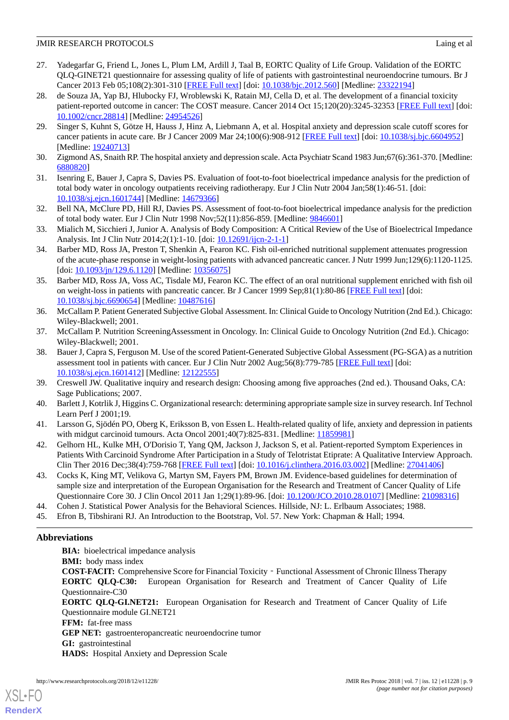- <span id="page-8-0"></span>27. Yadegarfar G, Friend L, Jones L, Plum LM, Ardill J, Taal B, EORTC Quality of Life Group. Validation of the EORTC QLQ-GINET21 questionnaire for assessing quality of life of patients with gastrointestinal neuroendocrine tumours. Br J Cancer 2013 Feb 05;108(2):301-310 [[FREE Full text](http://dx.doi.org/10.1038/bjc.2012.560)] [doi: [10.1038/bjc.2012.560\]](http://dx.doi.org/10.1038/bjc.2012.560) [Medline: [23322194\]](http://www.ncbi.nlm.nih.gov/entrez/query.fcgi?cmd=Retrieve&db=PubMed&list_uids=23322194&dopt=Abstract)
- <span id="page-8-1"></span>28. de Souza JA, Yap BJ, Hlubocky FJ, Wroblewski K, Ratain MJ, Cella D, et al. The development of a financial toxicity patient-reported outcome in cancer: The COST measure. Cancer 2014 Oct 15;120(20):3245-32353 [[FREE Full text\]](https://doi.org/10.1002/cncr.28814) [doi: [10.1002/cncr.28814\]](http://dx.doi.org/10.1002/cncr.28814) [Medline: [24954526\]](http://www.ncbi.nlm.nih.gov/entrez/query.fcgi?cmd=Retrieve&db=PubMed&list_uids=24954526&dopt=Abstract)
- <span id="page-8-2"></span>29. Singer S, Kuhnt S, Götze H, Hauss J, Hinz A, Liebmann A, et al. Hospital anxiety and depression scale cutoff scores for cancer patients in acute care. Br J Cancer 2009 Mar 24;100(6):908-912 [[FREE Full text](http://dx.doi.org/10.1038/sj.bjc.6604952)] [doi: [10.1038/sj.bjc.6604952\]](http://dx.doi.org/10.1038/sj.bjc.6604952) [Medline: [19240713](http://www.ncbi.nlm.nih.gov/entrez/query.fcgi?cmd=Retrieve&db=PubMed&list_uids=19240713&dopt=Abstract)]
- <span id="page-8-4"></span><span id="page-8-3"></span>30. Zigmond AS, Snaith RP. The hospital anxiety and depression scale. Acta Psychiatr Scand 1983 Jun;67(6):361-370. [Medline: [6880820\]](http://www.ncbi.nlm.nih.gov/entrez/query.fcgi?cmd=Retrieve&db=PubMed&list_uids=6880820&dopt=Abstract)
- <span id="page-8-5"></span>31. Isenring E, Bauer J, Capra S, Davies PS. Evaluation of foot-to-foot bioelectrical impedance analysis for the prediction of total body water in oncology outpatients receiving radiotherapy. Eur J Clin Nutr 2004 Jan;58(1):46-51. [doi: [10.1038/sj.ejcn.1601744](http://dx.doi.org/10.1038/sj.ejcn.1601744)] [Medline: [14679366\]](http://www.ncbi.nlm.nih.gov/entrez/query.fcgi?cmd=Retrieve&db=PubMed&list_uids=14679366&dopt=Abstract)
- <span id="page-8-6"></span>32. Bell NA, McClure PD, Hill RJ, Davies PS. Assessment of foot-to-foot bioelectrical impedance analysis for the prediction of total body water. Eur J Clin Nutr 1998 Nov;52(11):856-859. [Medline: [9846601\]](http://www.ncbi.nlm.nih.gov/entrez/query.fcgi?cmd=Retrieve&db=PubMed&list_uids=9846601&dopt=Abstract)
- <span id="page-8-7"></span>33. Mialich M, Sicchieri J, Junior A. Analysis of Body Composition: A Critical Review of the Use of Bioelectrical Impedance Analysis. Int J Clin Nutr 2014;2(1):1-10. [doi: [10.12691/ijcn-2-1-1](http://dx.doi.org/10.12691/ijcn-2-1-1)]
- <span id="page-8-8"></span>34. Barber MD, Ross JA, Preston T, Shenkin A, Fearon KC. Fish oil-enriched nutritional supplement attenuates progression of the acute-phase response in weight-losing patients with advanced pancreatic cancer. J Nutr 1999 Jun;129(6):1120-1125. [doi: [10.1093/jn/129.6.1120\]](http://dx.doi.org/10.1093/jn/129.6.1120) [Medline: [10356075](http://www.ncbi.nlm.nih.gov/entrez/query.fcgi?cmd=Retrieve&db=PubMed&list_uids=10356075&dopt=Abstract)]
- <span id="page-8-9"></span>35. Barber MD, Ross JA, Voss AC, Tisdale MJ, Fearon KC. The effect of an oral nutritional supplement enriched with fish oil on weight-loss in patients with pancreatic cancer. Br J Cancer 1999 Sep;81(1):80-86 [[FREE Full text\]](http://europepmc.org/abstract/MED/10487616) [doi: [10.1038/sj.bjc.6690654\]](http://dx.doi.org/10.1038/sj.bjc.6690654) [Medline: [10487616](http://www.ncbi.nlm.nih.gov/entrez/query.fcgi?cmd=Retrieve&db=PubMed&list_uids=10487616&dopt=Abstract)]
- <span id="page-8-11"></span><span id="page-8-10"></span>36. McCallam P. Patient Generated Subjective Global Assessment. In: Clinical Guide to Oncology Nutrition (2nd Ed.). Chicago: Wiley-Blackwell; 2001.
- 37. McCallam P. Nutrition ScreeningAssessment in Oncology. In: Clinical Guide to Oncology Nutrition (2nd Ed.). Chicago: Wiley-Blackwell; 2001.
- <span id="page-8-13"></span><span id="page-8-12"></span>38. Bauer J, Capra S, Ferguson M. Use of the scored Patient-Generated Subjective Global Assessment (PG-SGA) as a nutrition assessment tool in patients with cancer. Eur J Clin Nutr 2002 Aug;56(8):779-785 [\[FREE Full text\]](http://dx.doi.org/10.1038/sj.ejcn.1601412) [doi: [10.1038/sj.ejcn.1601412](http://dx.doi.org/10.1038/sj.ejcn.1601412)] [Medline: [12122555\]](http://www.ncbi.nlm.nih.gov/entrez/query.fcgi?cmd=Retrieve&db=PubMed&list_uids=12122555&dopt=Abstract)
- <span id="page-8-14"></span>39. Creswell JW. Qualitative inquiry and research design: Choosing among five approaches (2nd ed.). Thousand Oaks, CA: Sage Publications; 2007.
- <span id="page-8-15"></span>40. Barlett J, Kotrlik J, Higgins C. Organizational research: determining appropriate sample size in survey research. Inf Technol Learn Perf J 2001;19.
- <span id="page-8-16"></span>41. Larsson G, Sjödén PO, Oberg K, Eriksson B, von Essen L. Health-related quality of life, anxiety and depression in patients with midgut carcinoid tumours. Acta Oncol 2001;40(7):825-831. [Medline: [11859981\]](http://www.ncbi.nlm.nih.gov/entrez/query.fcgi?cmd=Retrieve&db=PubMed&list_uids=11859981&dopt=Abstract)
- <span id="page-8-17"></span>42. Gelhorn HL, Kulke MH, O'Dorisio T, Yang QM, Jackson J, Jackson S, et al. Patient-reported Symptom Experiences in Patients With Carcinoid Syndrome After Participation in a Study of Telotristat Etiprate: A Qualitative Interview Approach. Clin Ther 2016 Dec;38(4):759-768 [[FREE Full text](https://linkinghub.elsevier.com/retrieve/pii/S0149-2918(16)30122-9)] [doi: [10.1016/j.clinthera.2016.03.002](http://dx.doi.org/10.1016/j.clinthera.2016.03.002)] [Medline: [27041406](http://www.ncbi.nlm.nih.gov/entrez/query.fcgi?cmd=Retrieve&db=PubMed&list_uids=27041406&dopt=Abstract)]
- <span id="page-8-18"></span>43. Cocks K, King MT, Velikova G, Martyn SM, Fayers PM, Brown JM. Evidence-based guidelines for determination of sample size and interpretation of the European Organisation for the Research and Treatment of Cancer Quality of Life Questionnaire Core 30. J Clin Oncol 2011 Jan 1;29(1):89-96. [doi: [10.1200/JCO.2010.28.0107\]](http://dx.doi.org/10.1200/JCO.2010.28.0107) [Medline: [21098316\]](http://www.ncbi.nlm.nih.gov/entrez/query.fcgi?cmd=Retrieve&db=PubMed&list_uids=21098316&dopt=Abstract)
- 44. Cohen J. Statistical Power Analysis for the Behavioral Sciences. Hillside, NJ: L. Erlbaum Associates; 1988.
- 45. Efron B, Tibshirani RJ. An Introduction to the Bootstrap, Vol. 57. New York: Chapman & Hall; 1994.

## **Abbreviations**

[XSL](http://www.w3.org/Style/XSL)•FO **[RenderX](http://www.renderx.com/)**

**BIA:** bioelectrical impedance analysis

**BMI:** body mass index

**COST-FACIT:** Comprehensive Score for Financial Toxicity‐Functional Assessment of Chronic Illness Therapy **EORTC QLQ-C30:** European Organisation for Research and Treatment of Cancer Quality of Life Questionnaire-C30

**EORTC QLQ-GI.NET21:** European Organisation for Research and Treatment of Cancer Quality of Life Questionnaire module GI.NET21

**FFM:** fat-free mass

**GEP NET:** gastroenteropancreatic neuroendocrine tumor

**GI:** gastrointestinal

**HADS:** Hospital Anxiety and Depression Scale